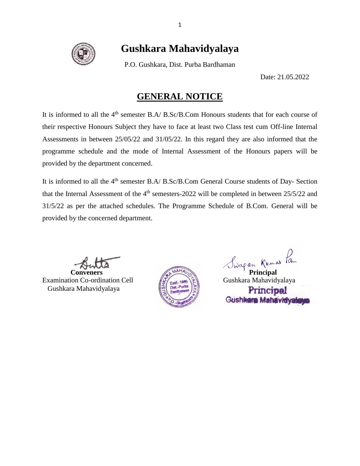

# **Gushkara Mahavidyalaya**

P.O. Gushkara, Dist. Purba Bardhaman

Date: 21.05.2022

### **GENERAL NOTICE**

It is informed to all the  $4<sup>th</sup>$  semester B.A/ B.Sc/B.Com Honours students that for each course of their respective Honours Subject they have to face at least two Class test cum Off-line Internal Assessments in between 25/05/22 and 31/05/22. In this regard they are also informed that the programme schedule and the mode of Internal Assessment of the Honours papers will be provided by the department concerned.

It is informed to all the 4<sup>th</sup> semester B.A/ B.Sc/B.Com General Course students of Day- Section that the Internal Assessment of the 4<sup>th</sup> semesters-2022 will be completed in between 25/5/22 and 31/5/22 as per the attached schedules. The Programme Schedule of B.Com. General will be provided by the concerned department.

Examination Co-ordination Cell  $\left( \sum_{r \in M^{-1}}$  ses  $\left\{ \tilde{\Sigma} \right\}$  Gushkara Mahavidyalaya Gushkara Mahavidyalaya



Butta Conveners Runal de Library de Library Principal

Principal Gushkara Mahavidvalı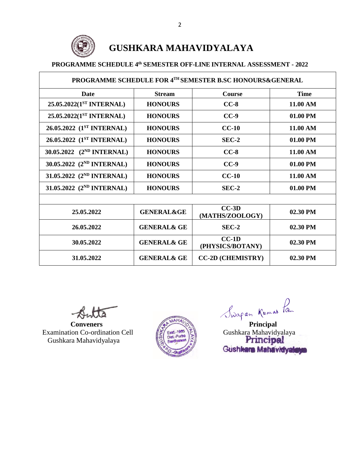

# **GUSHKARA MAHAVIDYALAYA**

#### **PROGRAMME SCHEDULE 4 th SEMESTER OFF-LINE INTERNAL ASSESSMENT - 2022**

| PROGRAMME SCHEDULE FOR 4TH SEMESTER B.SC HONOURS&GENERAL |                        |                             |             |  |
|----------------------------------------------------------|------------------------|-----------------------------|-------------|--|
| <b>Date</b>                                              | <b>Stream</b>          | <b>Course</b>               | <b>Time</b> |  |
| 25.05.2022(1 <sup>ST</sup> INTERNAL)                     | <b>HONOURS</b>         | $CC-8$                      | 11.00 AM    |  |
| 25.05.2022(1 <sup>ST</sup> INTERNAL)                     | <b>HONOURS</b>         | $CC-9$                      | 01.00 PM    |  |
| 26.05.2022 (1 <sup>ST</sup> INTERNAL)                    | <b>HONOURS</b>         | $CC-10$                     | 11.00 AM    |  |
| 26.05.2022 (1 <sup>ST</sup> INTERNAL)                    | <b>HONOURS</b>         | $SEC-2$                     | 01.00 PM    |  |
| 30.05.2022 (2 <sup>ND</sup> INTERNAL)                    | <b>HONOURS</b>         | $CC-8$                      | 11.00 AM    |  |
| 30.05.2022 (2 <sup>ND</sup> INTERNAL)                    | <b>HONOURS</b>         | $CC-9$                      | 01.00 PM    |  |
| 31.05.2022 (2 <sup>ND</sup> INTERNAL)                    | <b>HONOURS</b>         | $CC-10$                     | 11.00 AM    |  |
| 31.05.2022 (2 <sup>ND</sup> INTERNAL)                    | <b>HONOURS</b>         | $SEC-2$                     | 01.00 PM    |  |
|                                                          |                        |                             |             |  |
| 25.05.2022                                               | <b>GENERAL&amp;GE</b>  | $CC-3D$<br>(MATHS/ZOOLOGY)  | $02.30$ PM  |  |
| 26.05.2022                                               | <b>GENERAL&amp; GE</b> | $SEC-2$                     | 02.30 PM    |  |
| 30.05.2022                                               | <b>GENERAL&amp; GE</b> | $CC-1D$<br>(PHYSICS/BOTANY) | 02.30 PM    |  |
| 31.05.2022                                               | <b>GENERAL&amp; GE</b> | <b>CC-2D (CHEMISTRY)</b>    | 02.30 PM    |  |

Examination Co-ordination Cell  $\left(\sum_{n=1}^{\infty}\right)^{1980}$ Gushkara Mahavidyalaya



**Butta**<br>
Conveners<br>
ion Co-ordination Cell<br>
Trincipal General Cushkara Mahavidyalaya<br>
Principal Punthara Principal Gushkara Mahavidyalay